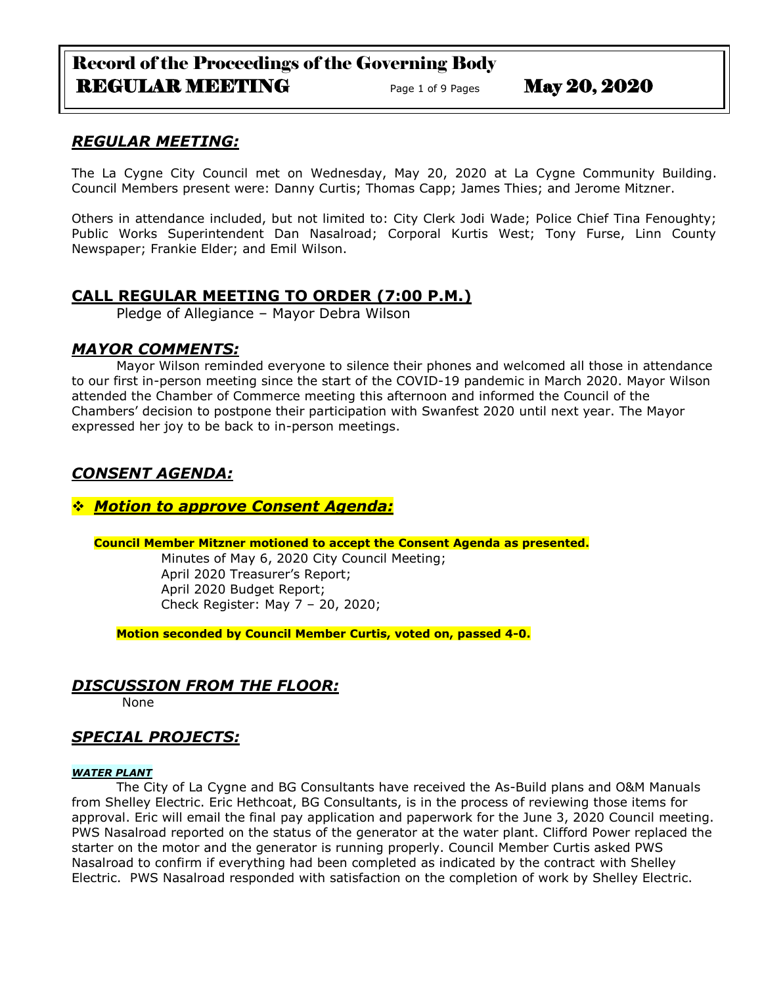# Record of the Proceedings of the Governing Body REGULAR MEETING Page 1 of 9 Pages May 20, 2020

# *REGULAR MEETING:*

The La Cygne City Council met on Wednesday, May 20, 2020 at La Cygne Community Building. Council Members present were: Danny Curtis; Thomas Capp; James Thies; and Jerome Mitzner.

Others in attendance included, but not limited to: City Clerk Jodi Wade; Police Chief Tina Fenoughty; Public Works Superintendent Dan Nasalroad; Corporal Kurtis West; Tony Furse, Linn County Newspaper; Frankie Elder; and Emil Wilson.

# **CALL REGULAR MEETING TO ORDER (7:00 P.M.)**

Pledge of Allegiance – Mayor Debra Wilson

## *MAYOR COMMENTS:*

Mayor Wilson reminded everyone to silence their phones and welcomed all those in attendance to our first in-person meeting since the start of the COVID-19 pandemic in March 2020. Mayor Wilson attended the Chamber of Commerce meeting this afternoon and informed the Council of the Chambers' decision to postpone their participation with Swanfest 2020 until next year. The Mayor expressed her joy to be back to in-person meetings.

# *CONSENT AGENDA:*

## *Motion to approve Consent Agenda:*

## **Council Member Mitzner motioned to accept the Consent Agenda as presented.**

Minutes of May 6, 2020 City Council Meeting; April 2020 Treasurer's Report; April 2020 Budget Report; Check Register: May 7 – 20, 2020;

**Motion seconded by Council Member Curtis, voted on, passed 4-0.** 

# *DISCUSSION FROM THE FLOOR:*

None

# *SPECIAL PROJECTS:*

## *WATER PLANT*

The City of La Cygne and BG Consultants have received the As-Build plans and O&M Manuals from Shelley Electric. Eric Hethcoat, BG Consultants, is in the process of reviewing those items for approval. Eric will email the final pay application and paperwork for the June 3, 2020 Council meeting. PWS Nasalroad reported on the status of the generator at the water plant. Clifford Power replaced the starter on the motor and the generator is running properly. Council Member Curtis asked PWS Nasalroad to confirm if everything had been completed as indicated by the contract with Shelley Electric. PWS Nasalroad responded with satisfaction on the completion of work by Shelley Electric.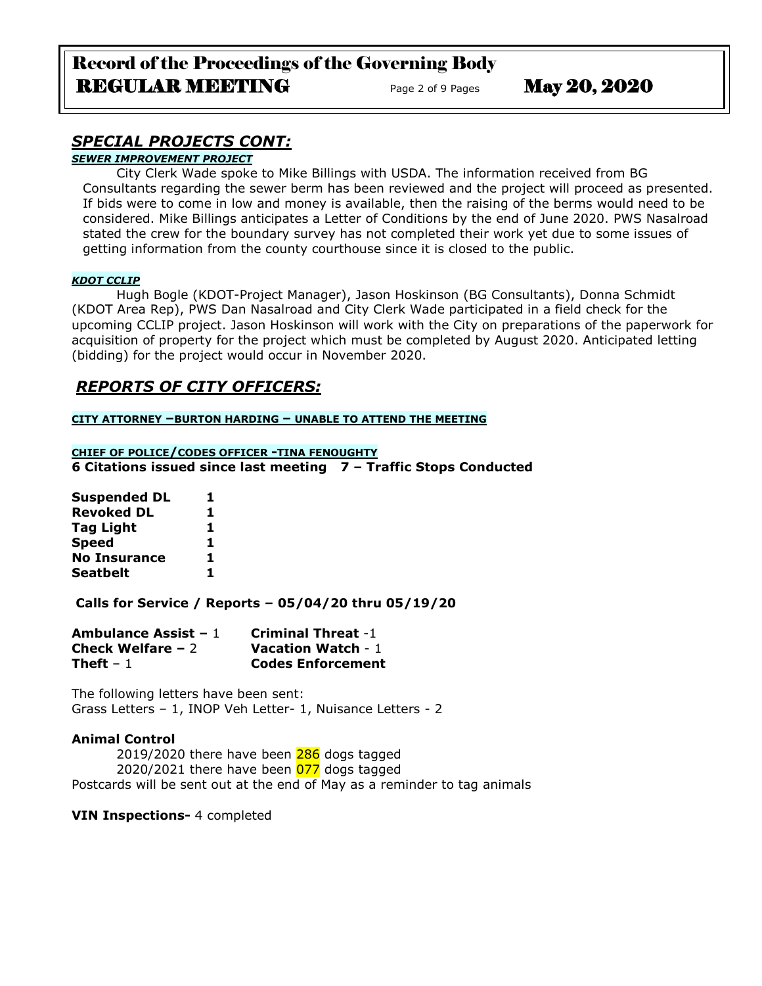# *SPECIAL PROJECTS CONT:*

*SEWER IMPROVEMENT PROJECT*

City Clerk Wade spoke to Mike Billings with USDA. The information received from BG Consultants regarding the sewer berm has been reviewed and the project will proceed as presented. If bids were to come in low and money is available, then the raising of the berms would need to be considered. Mike Billings anticipates a Letter of Conditions by the end of June 2020. PWS Nasalroad stated the crew for the boundary survey has not completed their work yet due to some issues of getting information from the county courthouse since it is closed to the public.

### *KDOT CCLIP*

Hugh Bogle (KDOT-Project Manager), Jason Hoskinson (BG Consultants), Donna Schmidt (KDOT Area Rep), PWS Dan Nasalroad and City Clerk Wade participated in a field check for the upcoming CCLIP project. Jason Hoskinson will work with the City on preparations of the paperwork for acquisition of property for the project which must be completed by August 2020. Anticipated letting (bidding) for the project would occur in November 2020.

# *REPORTS OF CITY OFFICERS:*

**CITY ATTORNEY –BURTON HARDING – UNABLE TO ATTEND THE MEETING**

**CHIEF OF POLICE/CODES OFFICER -TINA FENOUGHTY 6 Citations issued since last meeting 7 – Traffic Stops Conducted** 

| ı  |
|----|
| 1  |
| 1  |
| 1  |
| 1  |
| 1. |
|    |

**Calls for Service / Reports – 05/04/20 thru 05/19/20**

| Ambulance Assist $-1$ | <b>Criminal Threat -1</b> |
|-----------------------|---------------------------|
| Check Welfare $-2$    | <b>Vacation Watch - 1</b> |
| Theft – $1$           | <b>Codes Enforcement</b>  |

The following letters have been sent: Grass Letters – 1, INOP Veh Letter- 1, Nuisance Letters - 2

## **Animal Control**

2019/2020 there have been 286 dogs tagged 2020/2021 there have been  $\overline{077}$  dogs tagged Postcards will be sent out at the end of May as a reminder to tag animals

**VIN Inspections-** 4 completed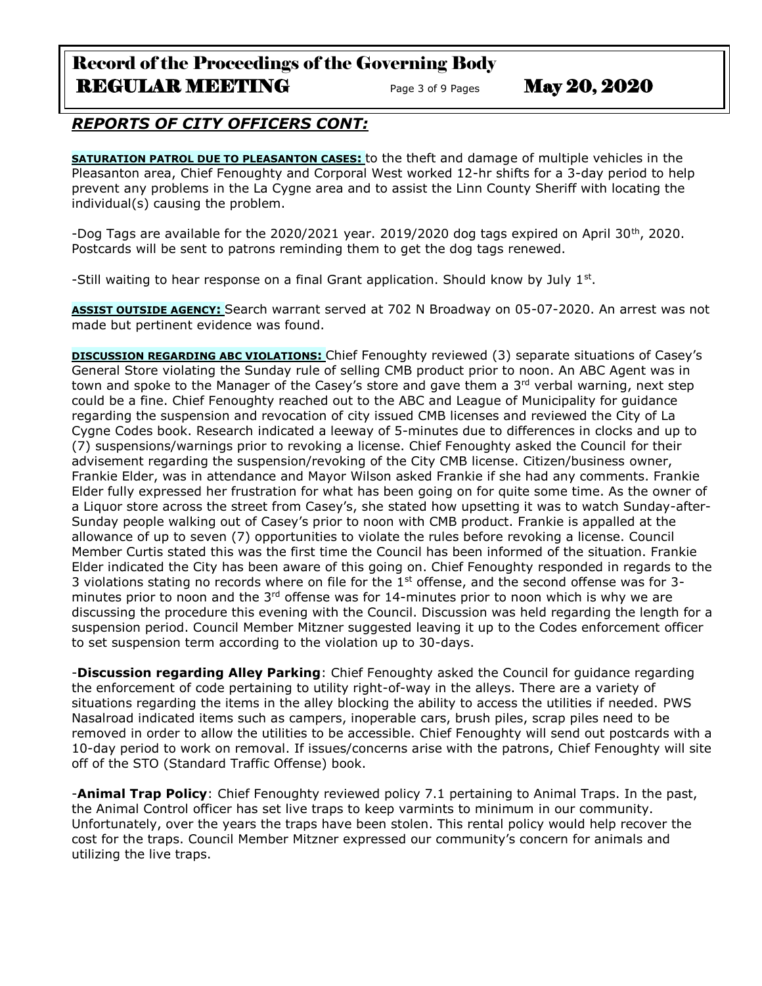# Record of the Proceedings of the Governing Body REGULAR MEETING Page 3 of 9 Pages May 20, 2020

# *REPORTS OF CITY OFFICERS CONT:*

**SATURATION PATROL DUE TO PLEASANTON CASES:** to the theft and damage of multiple vehicles in the Pleasanton area, Chief Fenoughty and Corporal West worked 12-hr shifts for a 3-day period to help prevent any problems in the La Cygne area and to assist the Linn County Sheriff with locating the individual(s) causing the problem.

-Dog Tags are available for the 2020/2021 year. 2019/2020 dog tags expired on April 30<sup>th</sup>, 2020. Postcards will be sent to patrons reminding them to get the dog tags renewed.

-Still waiting to hear response on a final Grant application. Should know by July  $1<sup>st</sup>$ .

**ASSIST OUTSIDE AGENCY:** Search warrant served at 702 N Broadway on 05-07-2020. An arrest was not made but pertinent evidence was found.

**DISCUSSION REGARDING ABC VIOLATIONS:** Chief Fenoughty reviewed (3) separate situations of Casey's General Store violating the Sunday rule of selling CMB product prior to noon. An ABC Agent was in town and spoke to the Manager of the Casey's store and gave them a 3<sup>rd</sup> verbal warning, next step could be a fine. Chief Fenoughty reached out to the ABC and League of Municipality for guidance regarding the suspension and revocation of city issued CMB licenses and reviewed the City of La Cygne Codes book. Research indicated a leeway of 5-minutes due to differences in clocks and up to (7) suspensions/warnings prior to revoking a license. Chief Fenoughty asked the Council for their advisement regarding the suspension/revoking of the City CMB license. Citizen/business owner, Frankie Elder, was in attendance and Mayor Wilson asked Frankie if she had any comments. Frankie Elder fully expressed her frustration for what has been going on for quite some time. As the owner of a Liquor store across the street from Casey's, she stated how upsetting it was to watch Sunday-after-Sunday people walking out of Casey's prior to noon with CMB product. Frankie is appalled at the allowance of up to seven (7) opportunities to violate the rules before revoking a license. Council Member Curtis stated this was the first time the Council has been informed of the situation. Frankie Elder indicated the City has been aware of this going on. Chief Fenoughty responded in regards to the 3 violations stating no records where on file for the  $1<sup>st</sup>$  offense, and the second offense was for 3minutes prior to noon and the  $3<sup>rd</sup>$  offense was for 14-minutes prior to noon which is why we are discussing the procedure this evening with the Council. Discussion was held regarding the length for a suspension period. Council Member Mitzner suggested leaving it up to the Codes enforcement officer to set suspension term according to the violation up to 30-days.

-**Discussion regarding Alley Parking**: Chief Fenoughty asked the Council for guidance regarding the enforcement of code pertaining to utility right-of-way in the alleys. There are a variety of situations regarding the items in the alley blocking the ability to access the utilities if needed. PWS Nasalroad indicated items such as campers, inoperable cars, brush piles, scrap piles need to be removed in order to allow the utilities to be accessible. Chief Fenoughty will send out postcards with a 10-day period to work on removal. If issues/concerns arise with the patrons, Chief Fenoughty will site off of the STO (Standard Traffic Offense) book.

-**Animal Trap Policy**: Chief Fenoughty reviewed policy 7.1 pertaining to Animal Traps. In the past, the Animal Control officer has set live traps to keep varmints to minimum in our community. Unfortunately, over the years the traps have been stolen. This rental policy would help recover the cost for the traps. Council Member Mitzner expressed our community's concern for animals and utilizing the live traps.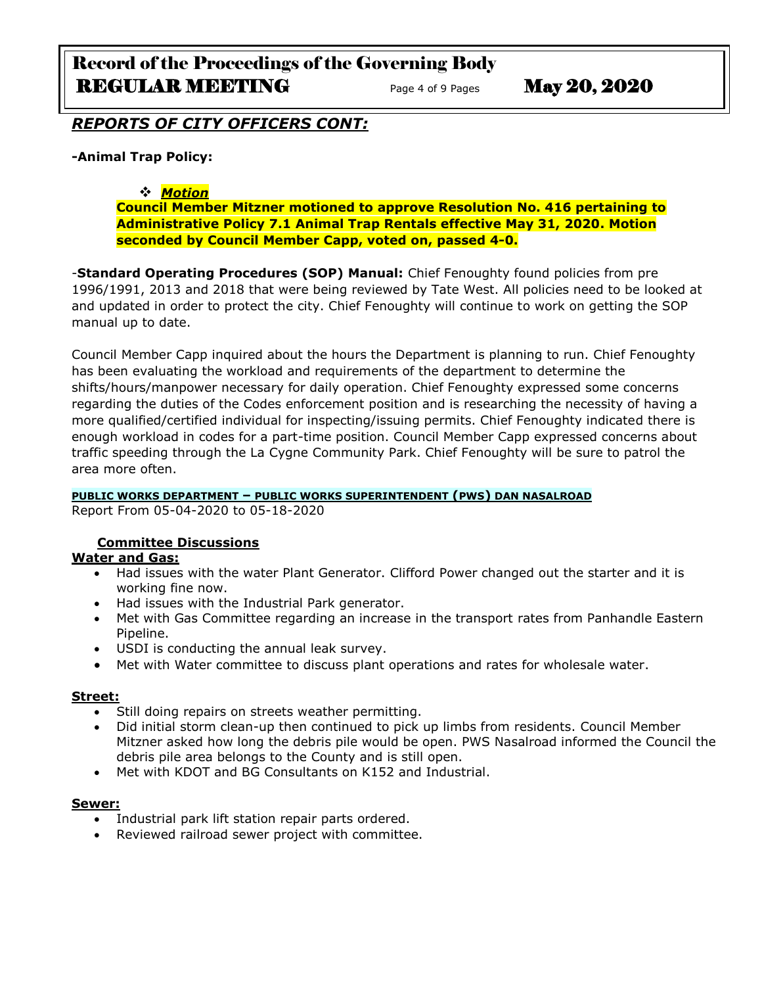# Record of the Proceedings of the Governing Body REGULAR MEETING Page 4 of 9 Pages May 20, 2020

# *REPORTS OF CITY OFFICERS CONT:*

## **-Animal Trap Policy:**

## *Motion*

**Council Member Mitzner motioned to approve Resolution No. 416 pertaining to Administrative Policy 7.1 Animal Trap Rentals effective May 31, 2020. Motion seconded by Council Member Capp, voted on, passed 4-0.** 

-**Standard Operating Procedures (SOP) Manual:** Chief Fenoughty found policies from pre 1996/1991, 2013 and 2018 that were being reviewed by Tate West. All policies need to be looked at and updated in order to protect the city. Chief Fenoughty will continue to work on getting the SOP manual up to date.

Council Member Capp inquired about the hours the Department is planning to run. Chief Fenoughty has been evaluating the workload and requirements of the department to determine the shifts/hours/manpower necessary for daily operation. Chief Fenoughty expressed some concerns regarding the duties of the Codes enforcement position and is researching the necessity of having a more qualified/certified individual for inspecting/issuing permits. Chief Fenoughty indicated there is enough workload in codes for a part-time position. Council Member Capp expressed concerns about traffic speeding through the La Cygne Community Park. Chief Fenoughty will be sure to patrol the area more often.

## **PUBLIC WORKS DEPARTMENT – PUBLIC WORKS SUPERINTENDENT (PWS) DAN NASALROAD**

Report From 05-04-2020 to 05-18-2020

## **Committee Discussions**

## **Water and Gas:**

- Had issues with the water Plant Generator. Clifford Power changed out the starter and it is working fine now.
- Had issues with the Industrial Park generator.
- Met with Gas Committee regarding an increase in the transport rates from Panhandle Eastern Pipeline.
- USDI is conducting the annual leak survey.
- Met with Water committee to discuss plant operations and rates for wholesale water.

## **Street:**

- Still doing repairs on streets weather permitting.
- Did initial storm clean-up then continued to pick up limbs from residents. Council Member Mitzner asked how long the debris pile would be open. PWS Nasalroad informed the Council the debris pile area belongs to the County and is still open.
- Met with KDOT and BG Consultants on K152 and Industrial.

## **Sewer:**

- Industrial park lift station repair parts ordered.
- Reviewed railroad sewer project with committee.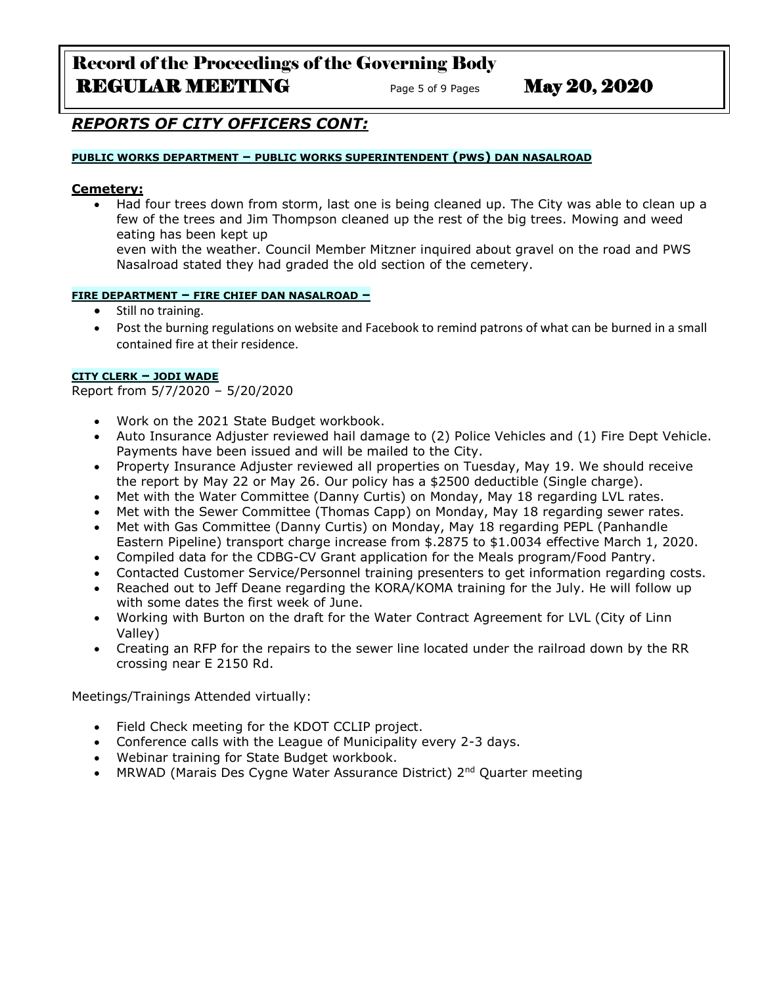# Record of the Proceedings of the Governing Body REGULAR MEETING Page 5 of 9 Pages May 20, 2020

# *REPORTS OF CITY OFFICERS CONT:*

#### **PUBLIC WORKS DEPARTMENT – PUBLIC WORKS SUPERINTENDENT (PWS) DAN NASALROAD**

### **Cemetery:**

 Had four trees down from storm, last one is being cleaned up. The City was able to clean up a few of the trees and Jim Thompson cleaned up the rest of the big trees. Mowing and weed eating has been kept up

even with the weather. Council Member Mitzner inquired about gravel on the road and PWS Nasalroad stated they had graded the old section of the cemetery.

#### **FIRE DEPARTMENT – FIRE CHIEF DAN NASALROAD –**

- Still no training.
- Post the burning regulations on website and Facebook to remind patrons of what can be burned in a small contained fire at their residence.

## **CITY CLERK – JODI WADE**

Report from 5/7/2020 – 5/20/2020

- Work on the 2021 State Budget workbook.
- Auto Insurance Adjuster reviewed hail damage to (2) Police Vehicles and (1) Fire Dept Vehicle. Payments have been issued and will be mailed to the City.
- Property Insurance Adjuster reviewed all properties on Tuesday, May 19. We should receive the report by May 22 or May 26. Our policy has a \$2500 deductible (Single charge).
- Met with the Water Committee (Danny Curtis) on Monday, May 18 regarding LVL rates.
- Met with the Sewer Committee (Thomas Capp) on Monday, May 18 regarding sewer rates.
- Met with Gas Committee (Danny Curtis) on Monday, May 18 regarding PEPL (Panhandle Eastern Pipeline) transport charge increase from \$.2875 to \$1.0034 effective March 1, 2020.
- Compiled data for the CDBG-CV Grant application for the Meals program/Food Pantry.
- Contacted Customer Service/Personnel training presenters to get information regarding costs.
- Reached out to Jeff Deane regarding the KORA/KOMA training for the July. He will follow up with some dates the first week of June.
- Working with Burton on the draft for the Water Contract Agreement for LVL (City of Linn Valley)
- Creating an RFP for the repairs to the sewer line located under the railroad down by the RR crossing near E 2150 Rd.

Meetings/Trainings Attended virtually:

- Field Check meeting for the KDOT CCLIP project.
- Conference calls with the League of Municipality every 2-3 days.
- Webinar training for State Budget workbook.
- MRWAD (Marais Des Cygne Water Assurance District) 2<sup>nd</sup> Quarter meeting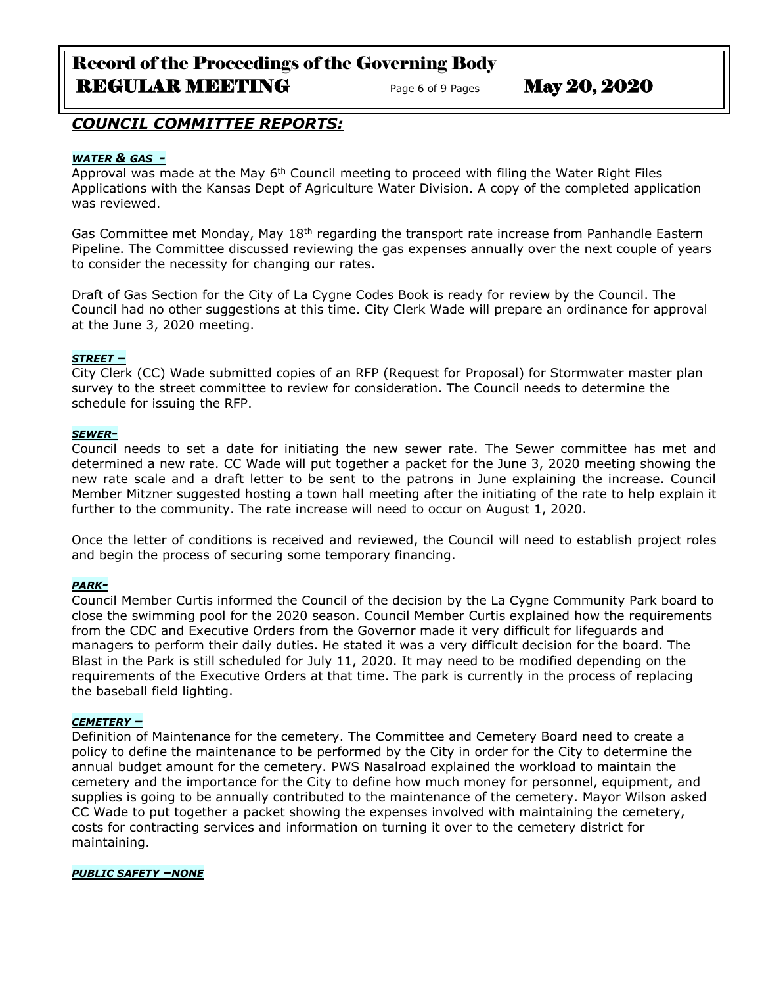# Record of the Proceedings of the Governing Body REGULAR MEETING Page 6 of 9 Pages May 20, 2020

## *COUNCIL COMMITTEE REPORTS:*

### *WATER & GAS -*

Approval was made at the May 6<sup>th</sup> Council meeting to proceed with filing the Water Right Files Applications with the Kansas Dept of Agriculture Water Division. A copy of the completed application was reviewed.

Gas Committee met Monday, May 18<sup>th</sup> regarding the transport rate increase from Panhandle Eastern Pipeline. The Committee discussed reviewing the gas expenses annually over the next couple of years to consider the necessity for changing our rates.

Draft of Gas Section for the City of La Cygne Codes Book is ready for review by the Council. The Council had no other suggestions at this time. City Clerk Wade will prepare an ordinance for approval at the June 3, 2020 meeting.

#### *STREET –*

City Clerk (CC) Wade submitted copies of an RFP (Request for Proposal) for Stormwater master plan survey to the street committee to review for consideration. The Council needs to determine the schedule for issuing the RFP.

#### *SEWER-*

Council needs to set a date for initiating the new sewer rate. The Sewer committee has met and determined a new rate. CC Wade will put together a packet for the June 3, 2020 meeting showing the new rate scale and a draft letter to be sent to the patrons in June explaining the increase. Council Member Mitzner suggested hosting a town hall meeting after the initiating of the rate to help explain it further to the community. The rate increase will need to occur on August 1, 2020.

Once the letter of conditions is received and reviewed, the Council will need to establish project roles and begin the process of securing some temporary financing.

#### *PARK-*

Council Member Curtis informed the Council of the decision by the La Cygne Community Park board to close the swimming pool for the 2020 season. Council Member Curtis explained how the requirements from the CDC and Executive Orders from the Governor made it very difficult for lifeguards and managers to perform their daily duties. He stated it was a very difficult decision for the board. The Blast in the Park is still scheduled for July 11, 2020. It may need to be modified depending on the requirements of the Executive Orders at that time. The park is currently in the process of replacing the baseball field lighting.

#### *CEMETERY –*

Definition of Maintenance for the cemetery. The Committee and Cemetery Board need to create a policy to define the maintenance to be performed by the City in order for the City to determine the annual budget amount for the cemetery. PWS Nasalroad explained the workload to maintain the cemetery and the importance for the City to define how much money for personnel, equipment, and supplies is going to be annually contributed to the maintenance of the cemetery. Mayor Wilson asked CC Wade to put together a packet showing the expenses involved with maintaining the cemetery, costs for contracting services and information on turning it over to the cemetery district for maintaining.

#### *PUBLIC SAFETY –NONE*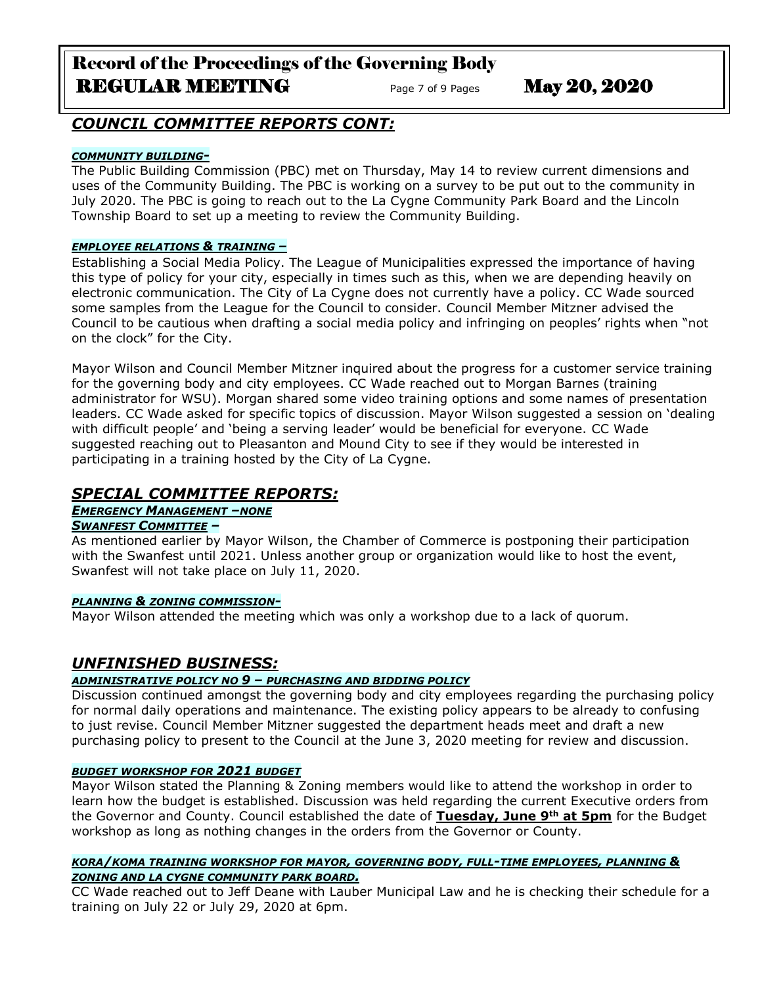# Record of the Proceedings of the Governing Body REGULAR MEETING Page 7 of 9 Pages May 20, 2020

# *COUNCIL COMMITTEE REPORTS CONT:*

## *COMMUNITY BUILDING-*

The Public Building Commission (PBC) met on Thursday, May 14 to review current dimensions and uses of the Community Building. The PBC is working on a survey to be put out to the community in July 2020. The PBC is going to reach out to the La Cygne Community Park Board and the Lincoln Township Board to set up a meeting to review the Community Building.

## *EMPLOYEE RELATIONS & TRAINING –*

Establishing a Social Media Policy. The League of Municipalities expressed the importance of having this type of policy for your city, especially in times such as this, when we are depending heavily on electronic communication. The City of La Cygne does not currently have a policy. CC Wade sourced some samples from the League for the Council to consider. Council Member Mitzner advised the Council to be cautious when drafting a social media policy and infringing on peoples' rights when "not on the clock" for the City.

Mayor Wilson and Council Member Mitzner inquired about the progress for a customer service training for the governing body and city employees. CC Wade reached out to Morgan Barnes (training administrator for WSU). Morgan shared some video training options and some names of presentation leaders. CC Wade asked for specific topics of discussion. Mayor Wilson suggested a session on 'dealing with difficult people' and 'being a serving leader' would be beneficial for everyone. CC Wade suggested reaching out to Pleasanton and Mound City to see if they would be interested in participating in a training hosted by the City of La Cygne.

# *SPECIAL COMMITTEE REPORTS:*

## *EMERGENCY MANAGEMENT –NONE*

## *SWANFEST COMMITTEE –*

As mentioned earlier by Mayor Wilson, the Chamber of Commerce is postponing their participation with the Swanfest until 2021. Unless another group or organization would like to host the event, Swanfest will not take place on July 11, 2020.

## *PLANNING & ZONING COMMISSION-*

Mayor Wilson attended the meeting which was only a workshop due to a lack of quorum.

# *UNFINISHED BUSINESS:*

## *ADMINISTRATIVE POLICY NO 9 – PURCHASING AND BIDDING POLICY*

Discussion continued amongst the governing body and city employees regarding the purchasing policy for normal daily operations and maintenance. The existing policy appears to be already to confusing to just revise. Council Member Mitzner suggested the department heads meet and draft a new purchasing policy to present to the Council at the June 3, 2020 meeting for review and discussion.

## *BUDGET WORKSHOP FOR 2021 BUDGET*

Mayor Wilson stated the Planning & Zoning members would like to attend the workshop in order to learn how the budget is established. Discussion was held regarding the current Executive orders from the Governor and County. Council established the date of **Tuesday, June 9th at 5pm** for the Budget workshop as long as nothing changes in the orders from the Governor or County.

### *KORA/KOMA TRAINING WORKSHOP FOR MAYOR, GOVERNING BODY, FULL-TIME EMPLOYEES, PLANNING & ZONING AND LA CYGNE COMMUNITY PARK BOARD.*

CC Wade reached out to Jeff Deane with Lauber Municipal Law and he is checking their schedule for a training on July 22 or July 29, 2020 at 6pm.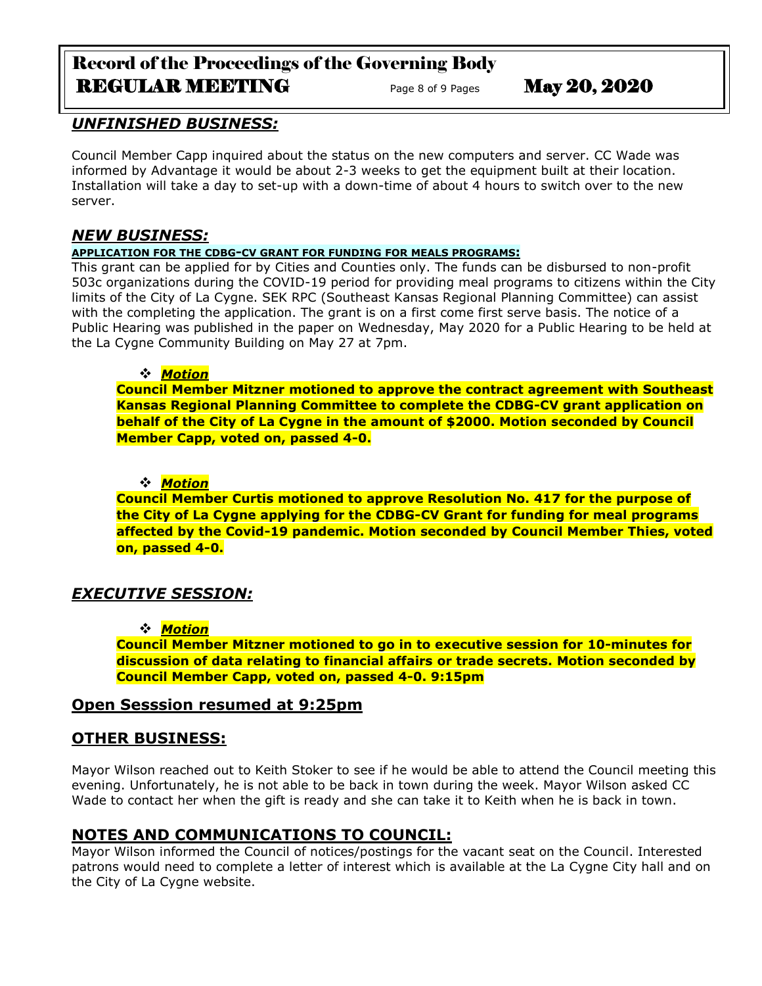# Record of the Proceedings of the Governing Body REGULAR MEETING<br>
Page 8 of 9 Pages May 20, 2020

# *UNFINISHED BUSINESS:*

Council Member Capp inquired about the status on the new computers and server. CC Wade was informed by Advantage it would be about 2-3 weeks to get the equipment built at their location. Installation will take a day to set-up with a down-time of about 4 hours to switch over to the new server.

## *NEW BUSINESS:*

## **APPLICATION FOR THE CDBG-CV GRANT FOR FUNDING FOR MEALS PROGRAMS:**

This grant can be applied for by Cities and Counties only. The funds can be disbursed to non-profit 503c organizations during the COVID-19 period for providing meal programs to citizens within the City limits of the City of La Cygne. SEK RPC (Southeast Kansas Regional Planning Committee) can assist with the completing the application. The grant is on a first come first serve basis. The notice of a Public Hearing was published in the paper on Wednesday, May 2020 for a Public Hearing to be held at the La Cygne Community Building on May 27 at 7pm.

## *Motion*

**Council Member Mitzner motioned to approve the contract agreement with Southeast Kansas Regional Planning Committee to complete the CDBG-CV grant application on behalf of the City of La Cygne in the amount of \$2000. Motion seconded by Council Member Capp, voted on, passed 4-0.** 

## *Motion*

**Council Member Curtis motioned to approve Resolution No. 417 for the purpose of the City of La Cygne applying for the CDBG-CV Grant for funding for meal programs affected by the Covid-19 pandemic. Motion seconded by Council Member Thies, voted on, passed 4-0.** 

# *EXECUTIVE SESSION:*

## *Motion*

**Council Member Mitzner motioned to go in to executive session for 10-minutes for discussion of data relating to financial affairs or trade secrets. Motion seconded by Council Member Capp, voted on, passed 4-0. 9:15pm** 

## **Open Sesssion resumed at 9:25pm**

## **OTHER BUSINESS:**

Mayor Wilson reached out to Keith Stoker to see if he would be able to attend the Council meeting this evening. Unfortunately, he is not able to be back in town during the week. Mayor Wilson asked CC Wade to contact her when the gift is ready and she can take it to Keith when he is back in town.

# **NOTES AND COMMUNICATIONS TO COUNCIL:**

Mayor Wilson informed the Council of notices/postings for the vacant seat on the Council. Interested patrons would need to complete a letter of interest which is available at the La Cygne City hall and on the City of La Cygne website.